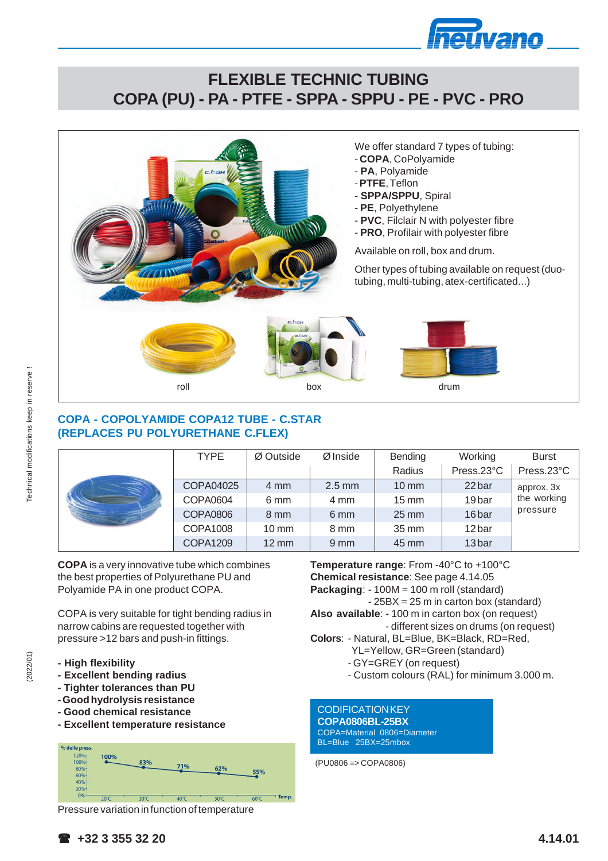

# **FLEXIBLE TECHNIC TUBING COPA (PU) - PA - PTFE - SPPA - SPPU - PE - PVC - PRO**



#### We offer standard 7 types of tubing:

- **COPA**, CoPolyamide
- **PA**, Polyamide
- **PTFE**, Teflon
- **SPPA/SPPU**, Spiral
- **PE**, Polyethylene
- **PVC**, Filclair N with polyester fibre
- **PRO**, Profilair with polyester fibre

Available on roll, box and drum.

Other types of tubing available on request (duotubing, multi-tubing, atex-certificated...)



### **COPA - COPOLYAMIDE COPA12 TUBE - C.STAR (REPLACES PU POLYURETHANE C.FLEX)**

|  | <b>TYPE</b>     | Ø Outside          | Ø Inside         | Bending            | Working           | <b>Burst</b>            |
|--|-----------------|--------------------|------------------|--------------------|-------------------|-------------------------|
|  |                 |                    |                  | Radius             | Press.23°C        | Press.23°C              |
|  | COPA04025       | 4 mm               | $2.5$ mm         | $10 \text{ mm}$    | 22 bar            | approx. 3x              |
|  | COPA0604        | 6 mm               | 4 mm             | $15 \text{ mm}$    | 19 <sub>bar</sub> | the working<br>pressure |
|  | <b>COPA0806</b> | 8 mm               | 6 mm             | $25 \,\mathrm{mm}$ | 16 <sub>bar</sub> |                         |
|  | COPA1008        | $10 \text{ mm}$    | 8 mm             | 35 mm              | 12 bar            |                         |
|  | <b>COPA1209</b> | $12 \,\mathrm{mm}$ | $9 \, \text{mm}$ | 45 mm              | 13bar             |                         |

**COPA** is a very innovative tube which combines the best properties of Polyurethane PU and Polyamide PA in one product COPA.

COPA is very suitable for tight bending radius in narrow cabins are requested together with pressure >12 bars and push-in fittings.

- **High flexibility**
- **Excellent bending radius**
- **Tighter tolerances than PU**
- **Good hydrolysis resistance**
- **Good chemical resistance**
- **Excellent temperature resistance**



**Temperature range**: From -40°C to +100°C **Chemical resistance**: See page 4.14.05 **Packaging**: - 100M = 100 m roll (standard) - 25BX = 25 m in carton box (standard) **Also available**: - 100 m in carton box (on request) - different sizes on drums (on request) **Colors**: - Natural, BL=Blue, BK=Black, RD=Red, YL=Yellow, GR=Green (standard) - GY=GREY (on request)

- Custom colours (RAL) for minimum 3.000 m.

#### **CODIFICATION KEY**

**COPA0806BL-25BX** COPA=Material 0806=Diameter BL=Blue 25BX=25mbox

(PU0806 => COPA0806)

(2022/01)

 **+32 3 355 32 20**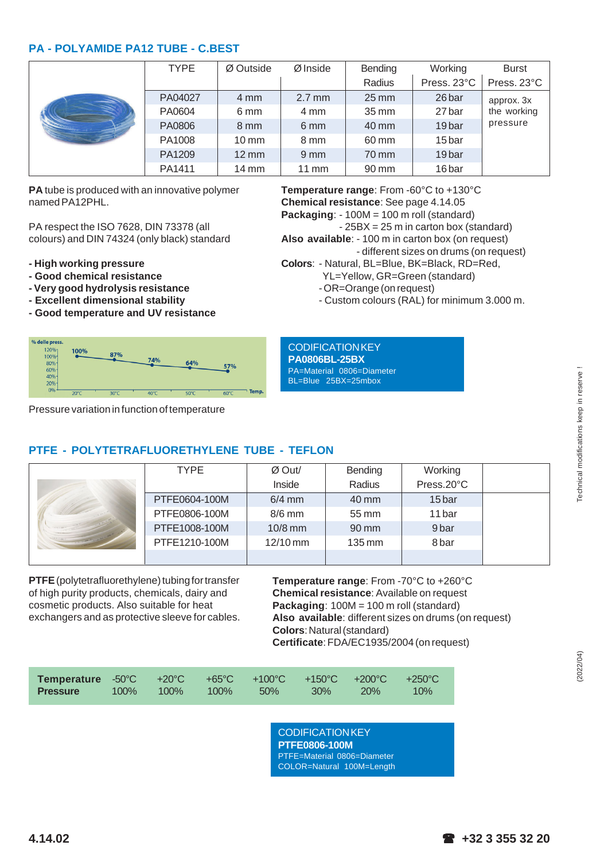#### **PA - POLYAMIDE PA12 TUBE - C.BEST**

|  | <b>TYPE</b> | Ø Outside          | Ø Inside         | Bending            | Working           | <b>Burst</b>            |
|--|-------------|--------------------|------------------|--------------------|-------------------|-------------------------|
|  |             |                    |                  | Radius             | Press. 23°C       | Press. 23°C             |
|  | PA04027     | $4 \text{ mm}$     | $2.7$ mm         | $25 \,\mathrm{mm}$ | 26 bar            | approx. 3x              |
|  | PA0604      | 6 mm               | 4 mm             | $35 \,\mathrm{mm}$ | 27 bar            | the working<br>pressure |
|  | PA0806      | 8 mm               | 6 mm             | 40 mm              | 19 <sub>bar</sub> |                         |
|  | PA1008      | $10 \text{ mm}$    | 8 mm             | 60 mm              | 15 bar            |                         |
|  | PA1209      | $12 \,\mathrm{mm}$ | $9 \, \text{mm}$ | 70 mm              | 19 <sub>bar</sub> |                         |
|  | PA1411      | $14 \text{ mm}$    | $11 \text{ mm}$  | 90 mm              | 16 bar            |                         |

**PA** tube is produced with an innovative polymer named PA12PHL.

PA respect the ISO 7628, DIN 73378 (all colours) and DIN 74324 (only black) standard

- **High working pressure**
- **Good chemical resistance**
- **Very good hydrolysis resistance**
- **Excellent dimensional stability**
- **Good temperature and UV resistance**



Pressure variation in function of temperature

**Temperature range**: From -60°C to +130°C **Chemical resistance**: See page 4.14.05 **Packaging**: - 100M = 100 m roll (standard) - 25BX = 25 m in carton box (standard)

**Also available**: - 100 m in carton box (on request)

- different sizes on drums (on request)
- **Colors**: Natural, BL=Blue, BK=Black, RD=Red, YL=Yellow, GR=Green (standard)
	- OR=Orange (on request)
	- Custom colours (RAL) for minimum 3.000 m.

**CODIFICATION KEY PA0806BL-25BX**

PA=Material 0806=Diameter BL=Blue 25BX=25mbox

### **PTFE - POLYTETRAFLUORETHYLENE TUBE - TEFLON**

| <b>TYPE</b>   | Ø Out/     | Bending             | Working    |
|---------------|------------|---------------------|------------|
|               | Inside     | Radius              | Press.20°C |
| PTFE0604-100M | $6/4$ mm   | 40 mm               | 15 bar     |
| PTFE0806-100M | $8/6$ mm   | 55 mm               | 11 bar     |
| PTFE1008-100M | $10/8$ mm  | 90 mm               | 9 bar      |
| PTFE1210-100M | $12/10$ mm | $135 \,\mathrm{mm}$ | 8 bar      |
|               |            |                     |            |

**PTFE** (polytetrafluorethylene) tubing for transfer of high purity products, chemicals, dairy and cosmetic products. Also suitable for heat exchangers and as protective sleeve for cables. **Temperature range**: From -70°C to +260°C **Chemical resistance**: Available on request **Packaging**: 100M = 100 m roll (standard) **Also available**: different sizes on drums (on request) **Colors**: Natural (standard) **Certificate**: FDA/EC1935/2004 (on request)

| Temperature -50°C +20°C +65°C +100°C +150°C +200°C +250°C |  |                    |            |        |
|-----------------------------------------------------------|--|--------------------|------------|--------|
| <b>Pressure</b>                                           |  | 100% 100% 100% 50% | $30\%$ 20% | $10\%$ |

#### **CODIFICATION KEY PTFE0806-100M**

PTFE=Material 0806=Diameter COLOR=Natural 100M=Length (2022/04)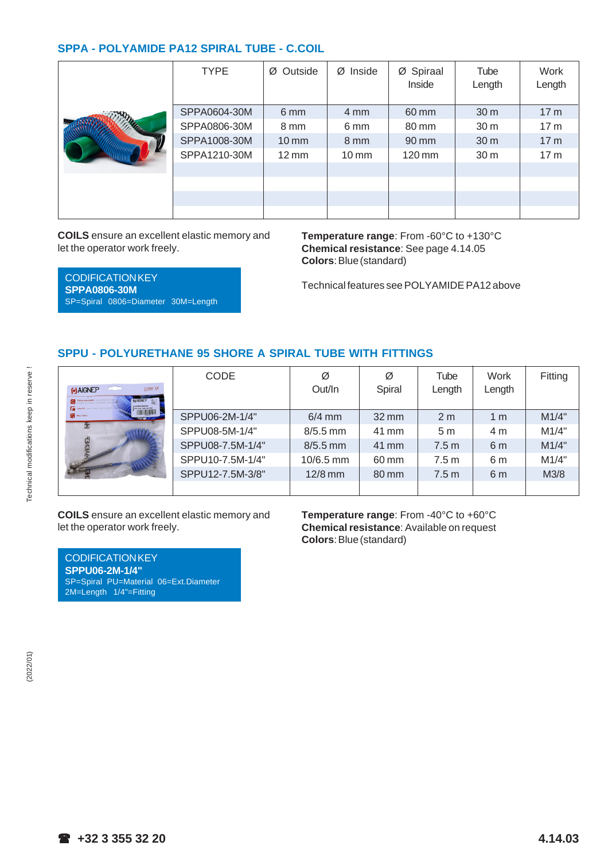#### **SPPA - POLYAMIDE PA12 SPIRAL TUBE - C.COIL**

| <b>TYPE</b>  | Ø Spiraal<br>$Ø$ Inside<br>Outside<br>Ø<br>Inside |                  |                     | Tube<br>Length  | Work<br>Length  |
|--------------|---------------------------------------------------|------------------|---------------------|-----------------|-----------------|
| SPPA0604-30M | 6 mm                                              | $4 \text{ mm}$   | 60 mm               | 30 m            | 17 <sub>m</sub> |
| SPPA0806-30M | 8 mm                                              | 6 mm             | 80 mm               | 30 m            | 17 <sub>m</sub> |
| SPPA1008-30M | $10 \, \text{mm}$                                 | $8 \, \text{mm}$ | 90 mm               | 30 m            | 17 <sub>m</sub> |
| SPPA1210-30M | $12 \,\mathrm{mm}$                                | $10 \text{ mm}$  | $120 \,\mathrm{mm}$ | 30 <sub>m</sub> | 17 <sub>m</sub> |
|              |                                                   |                  |                     |                 |                 |
|              |                                                   |                  |                     |                 |                 |
|              |                                                   |                  |                     |                 |                 |
|              |                                                   |                  |                     |                 |                 |

**COILS** ensure an excellent elastic memory and let the operator work freely.

SP=Spiral 0806=Diameter 30M=Length

**SPPA0806-30M**

**Temperature range**: From -60°C to +130°C **Chemical resistance**: See page 4.14.05 **Colors**: Blue (standard)

Technical features see POLYAMIDE PA12 above

#### **SPPU - POLYURETHANE 95 SHORE A SPIRAL TUBE WITH FITTINGS**

| --<br>SERIE SK<br><b>GJAIGNEP</b><br><b>FJAIGNEP</b> | <b>CODE</b>      | Ø<br>Out/In | Ø<br>Spiral        | Tube<br>Length   | Work<br>Length | Fitting |
|------------------------------------------------------|------------------|-------------|--------------------|------------------|----------------|---------|
| Max 10 Bar                                           | SPPU06-2M-1/4"   | $6/4$ mm    | $32 \,\mathrm{mm}$ | 2 <sub>m</sub>   | 1 <sub>m</sub> | M1/4"   |
|                                                      | SPPU08-5M-1/4"   | $8/5.5$ mm  | 41 mm              | 5 <sub>m</sub>   | 4 m            | M1/4"   |
|                                                      | SPPU08-7.5M-1/4" | $8/5.5$ mm  | 41 mm              | 7.5 <sub>m</sub> | 6 <sub>m</sub> | M1/4"   |
|                                                      | SPPU10-7.5M-1/4" | $10/6.5$ mm | 60 mm              | 7.5 <sub>m</sub> | 6 m            | M1/4"   |
|                                                      | SPPU12-7.5M-3/8" | $12/8$ mm   | 80 mm              | 7.5 <sub>m</sub> | 6 <sub>m</sub> | M3/8    |
|                                                      |                  |             |                    |                  |                |         |

**COILS** ensure an excellent elastic memory and let the operator work freely.

**Temperature range**: From -40°C to +60°C **Chemical resistance**: Available on request **Colors**: Blue (standard)

**CODIFICATION KEY SPPU06-2M-1/4"** SP=Spiral PU=Material 06=Ext.Diameter 2M=Length 1/4"=Fitting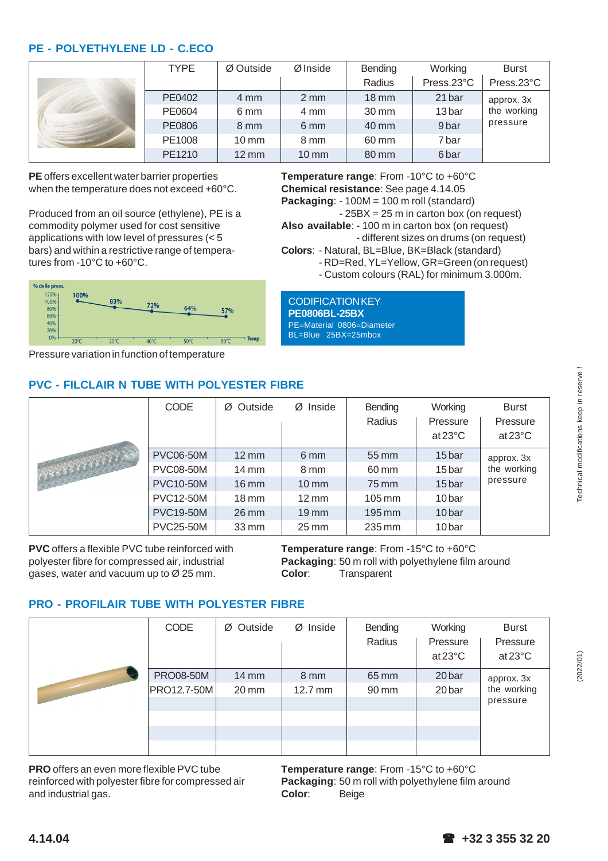#### **PE - POLYETHYLENE LD - C.ECO**

|  | <b>TYPE</b> | Ø Outside          | Ø Inside        | Bending            | Working           | <b>Burst</b> |
|--|-------------|--------------------|-----------------|--------------------|-------------------|--------------|
|  |             |                    |                 | Radius             | Press.23°C        | Press.23°C   |
|  | PE0402      | 4 mm               | $2 \text{ mm}$  | $18 \text{ mm}$    | 21 bar            | approx. 3x   |
|  | PE0604      | 6 mm               | $4 \text{ mm}$  | $30 \,\mathrm{mm}$ | 13 <sub>bar</sub> | the working  |
|  | PE0806      | 8 mm               | 6 mm            | 40 mm              | 9 <sub>bar</sub>  | pressure     |
|  | PE1008      | $10 \text{ mm}$    | 8 mm            | 60 mm              | 7 bar             |              |
|  | PE1210      | $12 \,\mathrm{mm}$ | $10 \text{ mm}$ | 80 mm              | 6 <sub>bar</sub>  |              |

**PE** offers excellent water barrier properties when the temperature does not exceed +60°C.

Produced from an oil source (ethylene), PE is a commodity polymer used for cost sensitive applications with low level of pressures (< 5 bars) and within a restrictive range of temperatures from -10°C to +60°C.

**Temperature range**: From -10°C to +60°C **Chemical resistance**: See page 4.14.05 **Packaging**: - 100M = 100 m roll (standard)

- 25BX = 25 m in carton box (on request)

**Also available**: - 100 m in carton box (on request) - different sizes on drums (on request)

**Colors**: - Natural, BL=Blue, BK=Black (standard)

CODIFICATION KEY **PE0806BL-25BX** PE=Material 0806=Diameter BL=Blue 25BX=25mbox

- RD=Red, YL=Yellow, GR=Green (on request)
- Custom colours (RAL) for minimum 3.000m.

% delle press 120% 100% 100% 83% 72% 80% 64% 57% 60%  $40%$ 209  $0<sup>9</sup>$  $60^{\circ}$ C  $20^{\circ}$  $30<sup>o</sup>$ 

Pressure variation in function of temperature

# **PVC - FILCLAIR N TUBE WITH POLYESTER FIBRE**

|  | <b>CODE</b>      | Ø Outside          | $Ø$ Inside         | Bending<br>Radius   | Working<br>Pressure<br>at $23^{\circ}$ C | <b>Burst</b><br>Pressure<br>at $23^{\circ}$ C |
|--|------------------|--------------------|--------------------|---------------------|------------------------------------------|-----------------------------------------------|
|  | <b>PVC06-50M</b> | $12 \,\mathrm{mm}$ | 6 mm               | 55 mm               | 15 bar                                   | approx. 3x                                    |
|  | <b>PVC08-50M</b> | $14 \text{ mm}$    | 8 mm               | 60 mm               | 15 bar                                   | the working                                   |
|  | <b>PVC10-50M</b> | $16 \text{ mm}$    | $10 \text{ mm}$    | 75 mm               | 15 bar                                   | pressure                                      |
|  | <b>PVC12-50M</b> | $18 \text{ mm}$    | $12 \text{ mm}$    | $105 \,\mathrm{mm}$ | 10 <sub>bar</sub>                        |                                               |
|  | <b>PVC19-50M</b> | $26 \text{ mm}$    | $19$ mm            | 195 mm              | 10 <sub>bar</sub>                        |                                               |
|  | <b>PVC25-50M</b> | $33 \,\mathrm{mm}$ | $25 \,\mathrm{mm}$ | 235 mm              | 10 <sub>bar</sub>                        |                                               |

**PVC** offers a flexible PVC tube reinforced with polyester fibre for compressed air, industrial gases, water and vacuum up to Ø 25 mm.

**Temperature range**: From -15°C to +60°C **Packaging**: 50 m roll with polyethylene film around **Color**: Transparent

## **PRO - PROFILAIR TUBE WITH POLYESTER FIBRE**

| <b>CODE</b>                            | Ø Outside                | Ø Inside                  | Bending<br>Radius | Working<br>Pressure<br>$at 23^{\circ}C$ | <b>Burst</b><br>Pressure<br>at 23°C |
|----------------------------------------|--------------------------|---------------------------|-------------------|-----------------------------------------|-------------------------------------|
| <b>PRO08-50M</b><br><b>PRO12.7-50M</b> | $14 \text{ mm}$<br>20 mm | 8 mm<br>$12.7 \text{ mm}$ | 65 mm<br>90 mm    | 20 bar<br>20 bar                        | approx. 3x<br>the working           |
|                                        |                          |                           |                   |                                         | pressure                            |
|                                        |                          |                           |                   |                                         |                                     |
|                                        |                          |                           |                   |                                         |                                     |
|                                        |                          |                           |                   |                                         |                                     |

**PRO** offers an even more flexible PVC tube reinforced with polyester fibre for compressed air and industrial gas.

**Temperature range**: From -15°C to +60°C **Packaging**: 50 m roll with polyethylene film around **Color**: Beige

(2022/01)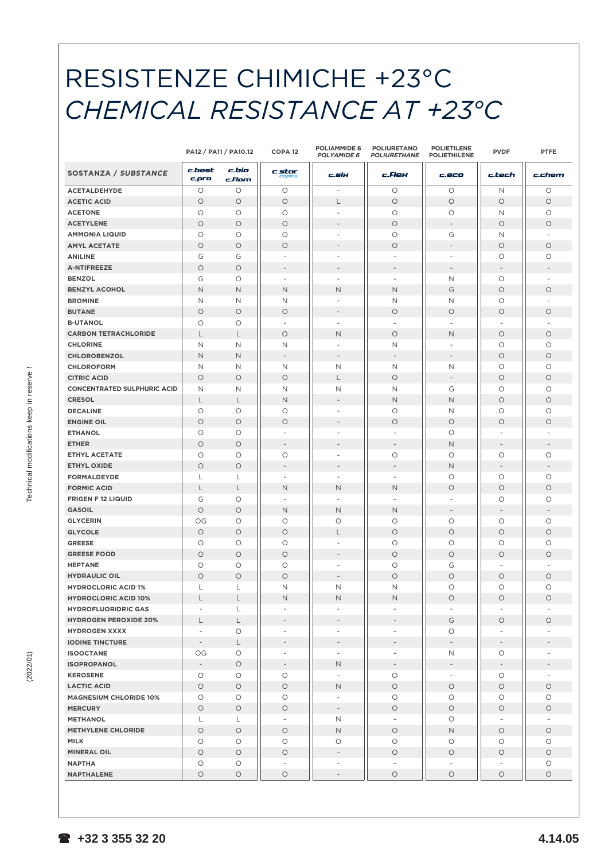# RESISTENZE CHIMICHE +23°C CHEMICAL RESISTANCE AT +23°C

|                                    |                          | PA12 / PA11 / PA10.12 | COPA <sub>12</sub>       | <b>POLIAMMIDE 6</b><br><b>POLYAMIDE 6</b> | <b>POLIURETANO</b><br>POLIURETHANE | <b>POLIETILENE</b><br><b>POLIETHILENE</b> | <b>PVDF</b>              | <b>PTFE</b>              |
|------------------------------------|--------------------------|-----------------------|--------------------------|-------------------------------------------|------------------------------------|-------------------------------------------|--------------------------|--------------------------|
| SOSTANZA / SUBSTANCE               | c.best<br>c.pro          | c.bio<br>c.Flam       | c.star                   | c.six                                     | c. <i>Flex</i>                     | c.eco                                     | c.tech                   | c.chem                   |
| <b>ACETALDEHYDE</b>                | $\circ$                  | $\circ$               | О                        |                                           | O                                  | O                                         | Ν                        | $\circ$                  |
| <b>ACETIC ACID</b>                 | $\circ$                  | $\circ$               | $\circ$                  | L                                         | $\circ$                            | $\circ$                                   | $\circ$                  | $\circ$                  |
| <b>ACETONE</b>                     | $\circ$                  | $\circ$               | O                        | $\overline{\phantom{a}}$                  | $\circ$                            | O                                         | N                        | $\circ$                  |
| <b>ACETYLENE</b>                   | $\circ$                  | $\circ$               | $\circ$                  |                                           | $\circ$                            | $\overline{\phantom{m}}$                  | $\circ$                  | $\circ$                  |
| <b>AMMONIA LIQUID</b>              | O                        | $\circ$               | O                        | $\overline{\phantom{a}}$                  | O                                  | G                                         | N                        |                          |
| <b>AMYL ACETATE</b>                | $\circ$                  | $\circ$               | $\circ$                  | $\overline{\phantom{a}}$                  | $\circ$                            | $\overline{\phantom{a}}$                  | $\circ$                  | $\circ$                  |
| <b>ANILINE</b>                     | G                        | G                     | $\overline{\phantom{a}}$ | $\overline{\phantom{a}}$                  | $\overline{a}$                     | $\overline{\phantom{a}}$                  | O                        | $\circ$                  |
| <b>A-NTIFREEZE</b>                 | $\circ$                  | $\circ$               | $\overline{\phantom{a}}$ | $\overline{\phantom{a}}$                  | $\overline{\phantom{a}}$           | $\overline{\phantom{a}}$                  | $\overline{\phantom{a}}$ | $\overline{\phantom{a}}$ |
| <b>BENZOL</b>                      | G                        | $\circ$               | $\overline{\phantom{0}}$ | $\overline{\phantom{a}}$                  | $\overline{a}$                     | Ν                                         | $\circ$                  |                          |
| <b>BENZYL ACOHOL</b>               | N                        | $\mathsf{N}$          | N                        | N                                         | N                                  | G                                         | $\circ$                  | $\circ$                  |
| <b>BROMINE</b>                     | N                        | N                     | Ν                        |                                           | Ν                                  | Ν                                         | O                        |                          |
| <b>BUTANE</b>                      | $\circ$                  | $\circ$               | $\circ$                  | $\overline{\phantom{a}}$                  | $\circ$                            | $\circ$                                   | $\circ$                  | $\circ$                  |
| <b>B-UTANOL</b>                    | O                        | $\circ$               | $\overline{\phantom{a}}$ | $\overline{\phantom{a}}$                  | $\overline{\phantom{a}}$           | $\overline{\phantom{a}}$                  | $\overline{\phantom{a}}$ | $\overline{\phantom{a}}$ |
| <b>CARBON TETRACHLORIDE</b>        | L                        | L                     | O                        | N                                         | $\circ$                            | N                                         | $\circ$                  | $\circ$                  |
| <b>CHLORINE</b>                    | N                        | N                     | Ν                        | $\overline{\phantom{a}}$                  | Ν                                  | $\overline{\phantom{a}}$                  | O                        | $\circ$                  |
| CHLOROBENZOL                       | $\mathsf{N}$             | $\mathsf{N}$          | $\overline{\phantom{a}}$ | $\overline{\phantom{a}}$                  | $\overline{\phantom{a}}$           | $\overline{\phantom{a}}$                  | $\circ$                  | $\circ$                  |
| <b>CHLOROFORM</b>                  | N                        | N                     | Ν                        | Ν                                         | Ν                                  | Ν                                         | O                        | $\circ$                  |
| <b>CITRIC ACID</b>                 | $\circ$                  | $\circ$               | $\circ$                  | L                                         | $\bigcirc$                         | $\overline{\phantom{a}}$                  | $\circ$                  | $\circ$                  |
| <b>CONCENTRATED SULPHURIC ACID</b> | N                        | $\mathsf{N}$          | N                        | Ν                                         | N                                  | G                                         | O                        | $\circ$                  |
| <b>CRESOL</b>                      | L                        | L                     | N                        |                                           | N                                  | $\mathsf{N}$                              | $\circ$                  | $\circ$                  |
| <b>DECALINE</b>                    | $\circ$                  | $\circ$               | O                        |                                           | $\circ$                            | Ν                                         | $\circ$                  | $\circ$                  |
| <b>ENGINE OIL</b>                  | $\circ$                  | $\circ$               | $\circ$                  | $\overline{\phantom{a}}$                  | $\circ$                            | $\circ$                                   | $\circ$                  | $\circ$                  |
| <b>ETHANOL</b>                     | O                        | $\circ$               | $\overline{\phantom{a}}$ | $\overline{\phantom{a}}$                  | $\overline{\phantom{a}}$           | O                                         | $\overline{\phantom{a}}$ | $\overline{\phantom{a}}$ |
| <b>ETHER</b>                       | $\circ$                  | $\circ$               | $\overline{\phantom{a}}$ | $\overline{\phantom{a}}$                  | $\overline{\phantom{a}}$           | $\mathsf{N}$                              | $\overline{\phantom{a}}$ | $\overline{\phantom{a}}$ |
| <b>ETHYL ACETATE</b>               | $\circ$                  | $\circ$               | $\circ$                  | $\overline{\phantom{a}}$                  | $\circ$                            | O                                         | $\circ$                  | $\circ$                  |
| <b>ETHYL OXIDE</b>                 | $\circ$                  | $\circ$               | $\overline{\phantom{a}}$ | $\qquad \qquad -$                         | $\qquad \qquad -$                  | $\mathsf{N}$                              | $\overline{\phantom{a}}$ | $\overline{\phantom{a}}$ |
| <b>FORMALDEYDE</b>                 | L                        | L                     | $\overline{\phantom{a}}$ | $\overline{\phantom{a}}$                  | $\overline{\phantom{a}}$           | O                                         | O                        | $\circ$                  |
| <b>FORMIC ACID</b>                 |                          |                       |                          |                                           |                                    |                                           |                          |                          |
|                                    | L                        | L                     | N                        | N<br>$\overline{\phantom{a}}$             | N                                  | $\circ$<br>$\overline{\phantom{a}}$       | $\circ$                  | $\circ$                  |
| <b>FRIGEN F 12 LIQUID</b>          | G                        | $\circ$               | $\overline{\phantom{a}}$ |                                           | $\overline{\phantom{a}}$           |                                           | O                        | $\circ$                  |
| <b>GASOIL</b>                      | $\circ$                  | $\circ$               | N                        | N                                         | N                                  | $\overline{\phantom{a}}$                  | $\qquad \qquad -$        | $\overline{\phantom{a}}$ |
| <b>GLYCERIN</b>                    | OG                       | $\circ$               | $\circ$                  | $\circ$                                   | $\circ$                            | $\circ$                                   | $\circ$                  | $\circ$                  |
| <b>GLYCOLE</b>                     | $\circ$                  | $\circ$               | $\circ$                  | L                                         | $\circ$                            | $\circ$                                   | $\circ$                  | $\circ$                  |
| <b>GREESE</b>                      | О                        | $\circ$               | O                        | $\overline{\phantom{a}}$                  | O                                  | О                                         | O                        | $\circ$                  |
| <b>GREESE FOOD</b>                 | $\circ$                  | $\circ$               | $\circ$                  | $\overline{\phantom{a}}$                  | $\circ$                            | $\circ$                                   | $\circ$                  | $\circ$                  |
| <b>HEPTANE</b>                     | O                        | $\circ$               | O                        | $\overline{\phantom{a}}$                  | O                                  | G                                         |                          |                          |
| <b>HYDRAULIC OIL</b>               | $\circ$                  | $\circ$               | $\circ$                  | $\overline{\phantom{a}}$                  | $\circ$                            | $\circ$                                   | $\circ$                  | $\circ$                  |
| <b>HYDROCLORIC ACID 1%</b>         | L                        | L                     | Ν                        | Ν                                         | Ν                                  | O                                         | $\circ$                  | $\circ$                  |
| <b>HYDROCLORIC ACID 10%</b>        | L                        | L                     | N                        | N                                         | $\mathsf{N}$                       | $\circ$                                   | $\circ$                  | $\circ$                  |
| <b>HYDROFLUORIDRIC GAS</b>         | $\overline{\phantom{a}}$ | L                     | $\overline{\phantom{a}}$ |                                           |                                    | $\overline{\phantom{a}}$                  | $\overline{\phantom{a}}$ |                          |
| <b>HYDROGEN PEROXIDE 20%</b>       | L                        | L                     | $\overline{\phantom{a}}$ | $\overline{\phantom{a}}$                  | $\overline{\phantom{a}}$           | G                                         | $\circ$                  | $\circ$                  |
| <b>HYDROGEN XXXX</b>               | $\overline{\phantom{a}}$ | $\bigcirc$            | $\overline{\phantom{a}}$ | $\overline{a}$                            | $\overline{\phantom{a}}$           | O                                         | $\overline{\phantom{a}}$ |                          |
| <b>IODINE TINCTURE</b>             | $\overline{\phantom{a}}$ | L                     | $\overline{\phantom{a}}$ | $\overline{\phantom{a}}$                  | $\overline{\phantom{a}}$           | $\overline{\phantom{a}}$                  | $\overline{\phantom{a}}$ |                          |
| <b>ISOOCTANE</b>                   | OG                       | $\circ$               | $\overline{\phantom{a}}$ | $\overline{\phantom{a}}$                  | $\overline{\phantom{a}}$           | Ν                                         | O                        |                          |
| <b>ISOPROPANOL</b>                 | $\overline{\phantom{a}}$ | $\circ$               | $\overline{\phantom{a}}$ | N                                         | $\overline{\phantom{a}}$           | $\overline{\phantom{a}}$                  | $\overline{\phantom{a}}$ |                          |
| <b>KEROSENE</b>                    | $\bigcirc$               | $\bigcirc$            | $\circ$                  | $\overline{\phantom{a}}$                  | $\circ$                            | $\overline{\phantom{a}}$                  | $\bigcirc$               |                          |
| <b>LACTIC ACID</b>                 | $\bigcirc$               | $\circ$               | $\bigcirc$               | N                                         | $\bigcirc$                         | $\bigcirc$                                | $\bigcirc$               | $\circlearrowright$      |
| <b>MAGNESIUM CHLORIDE 10%</b>      | O                        | O                     | О                        | $\overline{\phantom{a}}$                  | $\circ$                            | О                                         | О                        | $\circ$                  |
| <b>MERCURY</b>                     | $\circ$                  | $\circ$               | $\bigcirc$               | $\overline{\phantom{m}}$                  | $\bigcirc$                         | $\circ$                                   | $\circ$                  | $\bigcirc$               |
| <b>METHANOL</b>                    | L                        | L                     | $ \,$                    | N                                         | $\overline{\phantom{a}}$           | $\circ$                                   | $\overline{\phantom{a}}$ |                          |
| <b>METHYLENE CHLORIDE</b>          | $\bigcirc$               | $\circ$               | $\circ$                  | N                                         | $\bigcirc$                         | $\mathsf{N}$                              | $\circ$                  | $\circlearrowright$      |
| <b>MILK</b>                        | $\bigcirc$               | $\bigcirc$            | O                        | О                                         | O                                  | O                                         | $\bigcirc$               | $\circlearrowright$      |
| <b>MINERAL OIL</b>                 | $\bigcirc$               | $\bigcirc$            | $\circ$                  | $\qquad \qquad -$                         | $\bigcirc$                         | $\bigcirc$                                | $\circ$                  | $\circlearrowright$      |
| <b>NAPTHA</b>                      | $\bigcirc$               | $\bigcirc$            | $\overline{\phantom{a}}$ | $\overline{\phantom{0}}$                  | $\overline{\phantom{a}}$           | $\overline{\phantom{a}}$                  | $\overline{\phantom{a}}$ | $\circlearrowright$      |
| <b>NAPTHALENE</b>                  | O                        | $\bigcirc$            | $\circ$                  | $\overline{\phantom{a}}$                  | $\bigcirc$                         | $\bigcirc$                                | $\circ$                  | $\circ$                  |
|                                    |                          |                       |                          |                                           |                                    |                                           |                          |                          |